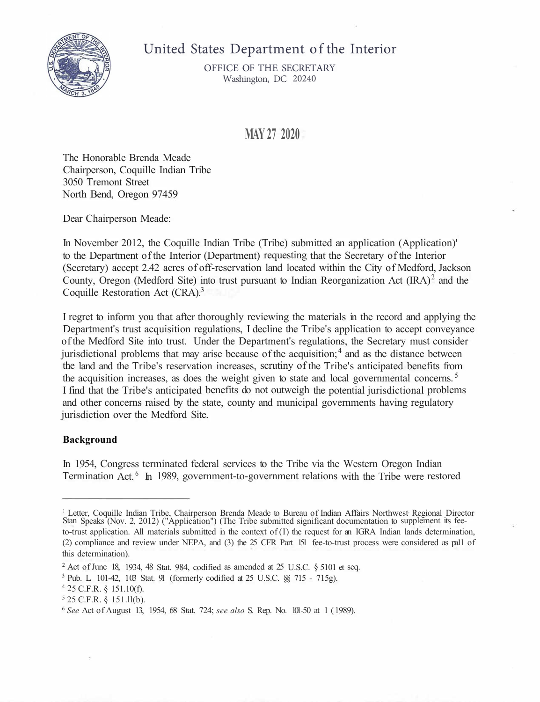

# United States Department of the Interior

OFFICE OF THE SECRETARY Washington, DC 20240

# **MAY 27 2020**

The Honorable Brenda Meade Chairperson, Coquille Indian Tribe 3050 Tremont Street North Bend, Oregon 97459

Dear Chairperson Meade:

In November 2012, the Coquille Indian Tribe (Tribe) submitted an application (Application)' to the Department of the Interior (Department) requesting that the Secretary of the Interior (Secretary) accept 2.42 acres of off-reservation land located within the City of Medford, Jackson County, Oregon (Medford Site) into trust pursuant to Indian Reorganization Act  $(IRA)^2$  and the Coquille Restoration Act (CRA).<sup>3</sup>

I regret to inform you that after thoroughly reviewing the materials in the record and applying the Department's trust acquisition regulations, I decline the Tribe's application to accept conveyance of the Medford Site into trust. Under the Department's regulations, the Secretary must consider jurisdictional problems that may arise because of the acquisition;<sup>4</sup> and as the distance between the land and the Tribe's reservation increases, scrutiny of the Tribe's anticipated benefits from the acquisition increases, as does the weight given to state and local governmental concerns.<sup>5</sup> I find that the Tribe's anticipated benefits do not outweigh the potential jurisdictional problems and other concerns raised by the state, county and municipal governments having regulatory jurisdiction over the Medford Site.

#### **Background**

In 1954, Congress terminated federal services to the Tribe via the Western Oregon Indian Termination Act.  $6\;$  In 1989, government-to-government relations with the Tribe were restored

<sup>&</sup>lt;sup>1</sup> Letter, Coquille Indian Tribe, Chairperson Brenda Meade to Bureau of Indian Affairs Northwest Regional Director Stan Speaks (Nov. 2, 2012) ("Application") (The Tribe submitted significant documentation to supplement its feeto-trust application. All materials submitted in the context of  $(I)$  the request for an IGRA Indian lands determination, (2) compliance and review under NEPA, and (3) the 25 CFR Part 151 fee-to-trust process were considered as pa11 of this determination).

 $2$  Act of June 18, 1934, 48 Stat. 984, codified as amended at  $25$  U.S.C. § 5101 et seq.

**<sup>3</sup>**Pub. L. 101-42, 103 Stat. 91 (formerly codified at 25 U.S.C. §§ 715 - 715g).

<sup>4</sup> 25 C.F.R. § 151.10(f).

<sup>5</sup> 25 C.F.R. § 151.ll(b).

<sup>6</sup>*See* Act of August 13, 1954, 68 Stat. 724; *see also* S. Rep. No. 101-50 at 1 ( 1989).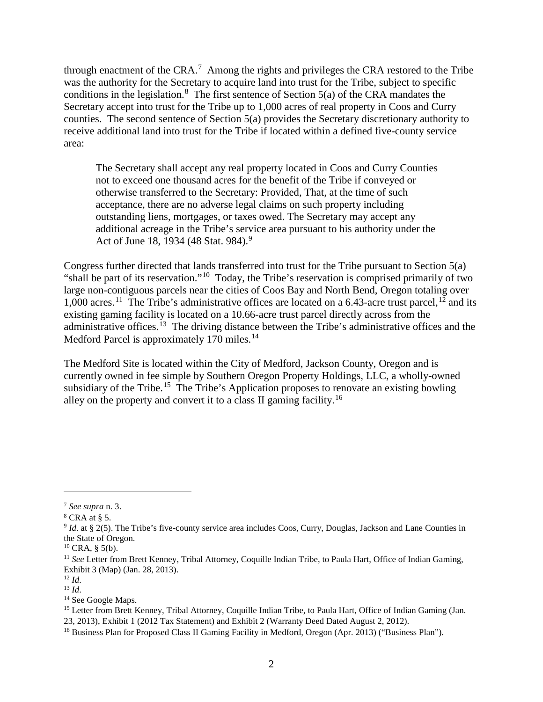through enactment of the CRA.<sup>[7](#page-1-0)</sup> Among the rights and privileges the CRA restored to the Tribe was the authority for the Secretary to acquire land into trust for the Tribe, subject to specific conditions in the legislation.<sup>[8](#page-1-1)</sup> The first sentence of Section  $5(a)$  of the CRA mandates the Secretary accept into trust for the Tribe up to 1,000 acres of real property in Coos and Curry counties. The second sentence of Section 5(a) provides the Secretary discretionary authority to receive additional land into trust for the Tribe if located within a defined five-county service area:

The Secretary shall accept any real property located in Coos and Curry Counties not to exceed one thousand acres for the benefit of the Tribe if conveyed or otherwise transferred to the Secretary: Provided, That, at the time of such acceptance, there are no adverse legal claims on such property including outstanding liens, mortgages, or taxes owed. The Secretary may accept any additional acreage in the Tribe's service area pursuant to his authority under the Act of June 18, 1[9](#page-1-2)34 (48 Stat. 984).<sup>9</sup>

Congress further directed that lands transferred into trust for the Tribe pursuant to Section 5(a) "shall be part of its reservation."[10](#page-1-3) Today, the Tribe's reservation is comprised primarily of two large non-contiguous parcels near the cities of Coos Bay and North Bend, Oregon totaling over 1,000 acres.<sup>[11](#page-1-4)</sup> The Tribe's administrative offices are located on a 6.43-acre trust parcel, <sup>[12](#page-1-5)</sup> and its existing gaming facility is located on a 10.66-acre trust parcel directly across from the administrative offices.<sup>[13](#page-1-6)</sup> The driving distance between the Tribe's administrative offices and the Medford Parcel is approximately 170 miles.<sup>[14](#page-1-7)</sup>

The Medford Site is located within the City of Medford, Jackson County, Oregon and is currently owned in fee simple by Southern Oregon Property Holdings, LLC, a wholly-owned subsidiary of the Tribe.<sup>[15](#page-1-8)</sup> The Tribe's Application proposes to renovate an existing bowling alley on the property and convert it to a class II gaming facility.[16](#page-1-9)

<span id="page-1-0"></span><sup>7</sup> *See supra* n. 3.

<span id="page-1-1"></span> $8$  CRA at § 5.

<span id="page-1-2"></span><sup>&</sup>lt;sup>9</sup> *Id.* at § 2(5). The Tribe's five-county service area includes Coos, Curry, Douglas, Jackson and Lane Counties in the State of Oregon.

<span id="page-1-3"></span> $10$  CRA, § 5(b).

<span id="page-1-4"></span><sup>11</sup> *See* Letter from Brett Kenney, Tribal Attorney, Coquille Indian Tribe, to Paula Hart, Office of Indian Gaming, Exhibit 3 (Map) (Jan. 28, 2013).

<sup>12</sup> *Id*.

<span id="page-1-6"></span><span id="page-1-5"></span><sup>13</sup> *Id*.

<span id="page-1-7"></span><sup>&</sup>lt;sup>14</sup> See Google Maps.

<span id="page-1-8"></span><sup>&</sup>lt;sup>15</sup> Letter from Brett Kenney, Tribal Attorney, Coquille Indian Tribe, to Paula Hart, Office of Indian Gaming (Jan. 23, 2013), Exhibit 1 (2012 Tax Statement) and Exhibit 2 (Warranty Deed Dated August 2, 2012).

<span id="page-1-9"></span><sup>&</sup>lt;sup>16</sup> Business Plan for Proposed Class II Gaming Facility in Medford, Oregon (Apr. 2013) ("Business Plan").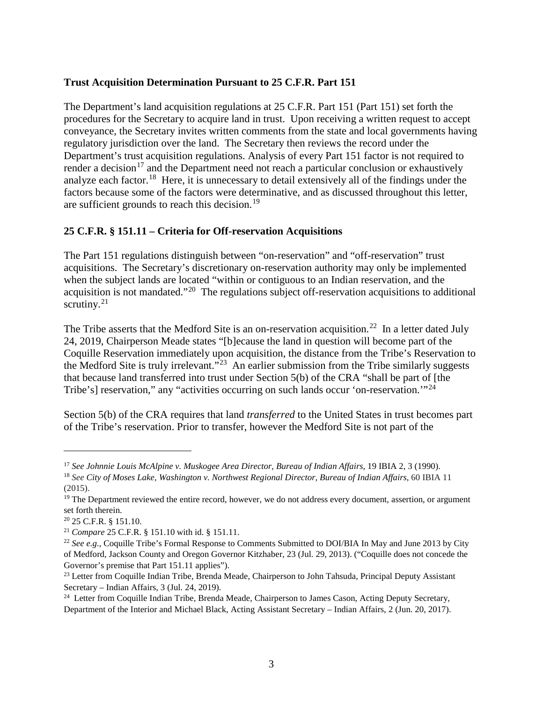#### **Trust Acquisition Determination Pursuant to 25 C.F.R. Part 151**

The Department's land acquisition regulations at 25 C.F.R. Part 151 (Part 151) set forth the procedures for the Secretary to acquire land in trust. Upon receiving a written request to accept conveyance, the Secretary invites written comments from the state and local governments having regulatory jurisdiction over the land. The Secretary then reviews the record under the Department's trust acquisition regulations. Analysis of every Part 151 factor is not required to render a decision<sup>[17](#page-2-0)</sup> and the Department need not reach a particular conclusion or exhaustively analyze each factor.<sup>[18](#page-2-1)</sup> Here, it is unnecessary to detail extensively all of the findings under the factors because some of the factors were determinative, and as discussed throughout this letter, are sufficient grounds to reach this decision.<sup>[19](#page-2-2)</sup>

# **25 C.F.R. § 151.11 – Criteria for Off-reservation Acquisitions**

The Part 151 regulations distinguish between "on-reservation" and "off-reservation" trust acquisitions. The Secretary's discretionary on-reservation authority may only be implemented when the subject lands are located "within or contiguous to an Indian reservation, and the acquisition is not mandated."[20](#page-2-3) The regulations subject off-reservation acquisitions to additional scrutiny. $21$ 

The Tribe asserts that the Medford Site is an on-reservation acquisition.<sup>[22](#page-2-5)</sup> In a letter dated July 24, 2019, Chairperson Meade states "[b]ecause the land in question will become part of the Coquille Reservation immediately upon acquisition, the distance from the Tribe's Reservation to the Medford Site is truly irrelevant."<sup>[23](#page-2-6)</sup> An earlier submission from the Tribe similarly suggests that because land transferred into trust under Section 5(b) of the CRA "shall be part of [the Tribe's] reservation," any "activities occurring on such lands occur 'on-reservation."<sup>[24](#page-2-7)</sup>

Section 5(b) of the CRA requires that land *transferred* to the United States in trust becomes part of the Tribe's reservation. Prior to transfer, however the Medford Site is not part of the

<span id="page-2-0"></span><sup>&</sup>lt;sup>17</sup> See Johnnie Louis McAlpine v. Muskogee Area Director, Bureau of Indian Affairs, 19 IBIA 2, 3 (1990).<br><sup>18</sup> See City of Moses Lake, Washington v. Northwest Regional Director, Bureau of Indian Affairs, 60 IBIA 11

<span id="page-2-1"></span><sup>(2015).</sup>

<span id="page-2-2"></span><sup>&</sup>lt;sup>19</sup> The Department reviewed the entire record, however, we do not address every document, assertion, or argument set forth therein.

<span id="page-2-3"></span><sup>20</sup> 25 C.F.R. § 151.10.

<span id="page-2-4"></span><sup>21</sup> *Compare* 25 C.F.R. § 151.10 with id. § 151.11.

<span id="page-2-5"></span><sup>&</sup>lt;sup>22</sup> See e.g., Coquille Tribe's Formal Response to Comments Submitted to DOI/BIA In May and June 2013 by City of Medford, Jackson County and Oregon Governor Kitzhaber, 23 (Jul. 29, 2013). ("Coquille does not concede the Governor's premise that Part 151.11 applies").

<span id="page-2-6"></span><sup>&</sup>lt;sup>23</sup> Letter from Coquille Indian Tribe, Brenda Meade, Chairperson to John Tahsuda, Principal Deputy Assistant Secretary – Indian Affairs, 3 (Jul. 24, 2019).

<span id="page-2-7"></span><sup>&</sup>lt;sup>24</sup> Letter from Coquille Indian Tribe, Brenda Meade, Chairperson to James Cason, Acting Deputy Secretary, Department of the Interior and Michael Black, Acting Assistant Secretary – Indian Affairs, 2 (Jun. 20, 2017).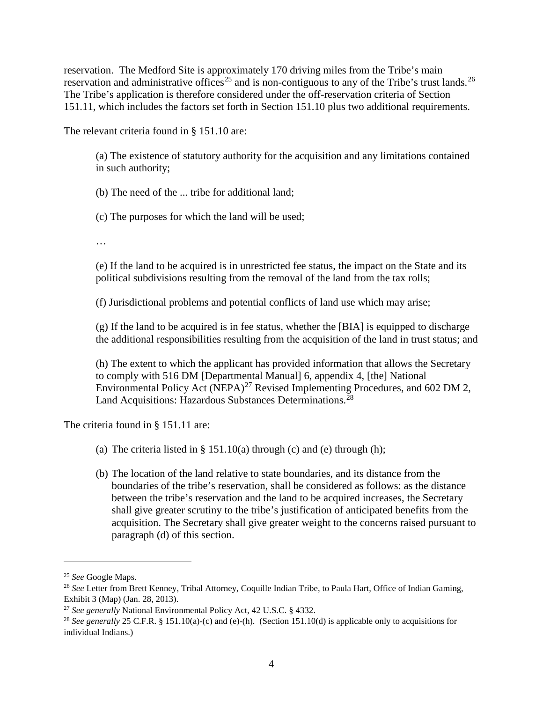reservation. The Medford Site is approximately 170 driving miles from the Tribe's main reservation and administrative offices<sup>[25](#page-3-0)</sup> and is non-contiguous to any of the Tribe's trust lands.<sup>[26](#page-3-1)</sup> The Tribe's application is therefore considered under the off-reservation criteria of Section 151.11, which includes the factors set forth in Section 151.10 plus two additional requirements.

The relevant criteria found in § 151.10 are:

(a) The existence of statutory authority for the acquisition and any limitations contained in such authority;

(b) The need of the ... tribe for additional land;

(c) The purposes for which the land will be used;

…

(e) If the land to be acquired is in unrestricted fee status, the impact on the State and its political subdivisions resulting from the removal of the land from the tax rolls;

(f) Jurisdictional problems and potential conflicts of land use which may arise;

(g) If the land to be acquired is in fee status, whether the [BIA] is equipped to discharge the additional responsibilities resulting from the acquisition of the land in trust status; and

(h) The extent to which the applicant has provided information that allows the Secretary to comply with 516 DM [Departmental Manual] 6, appendix 4, [the] National Environmental Policy Act (NEPA)<sup>[27](#page-3-2)</sup> Revised Implementing Procedures, and 602 DM 2, Land Acquisitions: Hazardous Substances Determinations.<sup>[28](#page-3-3)</sup>

The criteria found in § 151.11 are:

- (a) The criteria listed in  $\S$  151.10(a) through (c) and (e) through (h);
- (b) The location of the land relative to state boundaries, and its distance from the boundaries of the tribe's reservation, shall be considered as follows: as the distance between the tribe's reservation and the land to be acquired increases, the Secretary shall give greater scrutiny to the tribe's justification of anticipated benefits from the acquisition. The Secretary shall give greater weight to the concerns raised pursuant to paragraph (d) of this section.

<span id="page-3-0"></span><sup>25</sup> *See* Google Maps.

<span id="page-3-1"></span><sup>26</sup> *See* Letter from Brett Kenney, Tribal Attorney, Coquille Indian Tribe, to Paula Hart, Office of Indian Gaming, Exhibit 3 (Map) (Jan. 28, 2013).

<span id="page-3-2"></span><sup>27</sup> *See generally* National Environmental Policy Act, 42 U.S.C. § 4332.

<span id="page-3-3"></span><sup>28</sup> *See generally* 25 C.F.R. § 151.10(a)-(c) and (e)-(h). (Section 151.10(d) is applicable only to acquisitions for individual Indians.)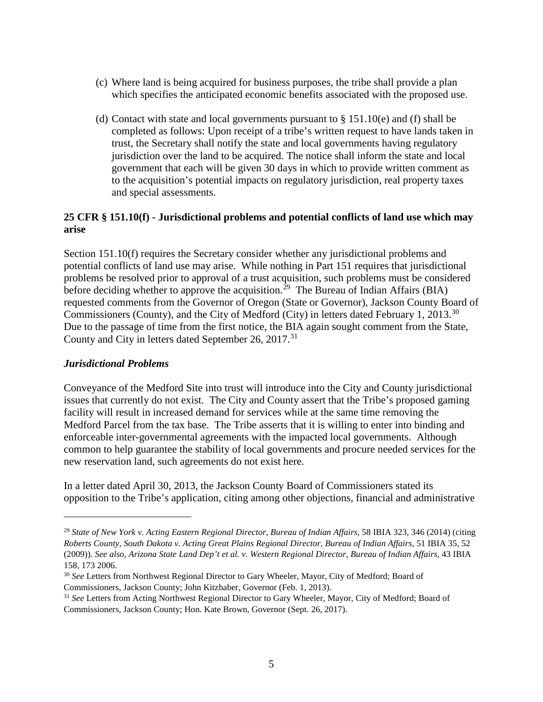- (c) Where land is being acquired for business purposes, the tribe shall provide a plan which specifies the anticipated economic benefits associated with the proposed use.
- (d) Contact with state and local governments pursuant to  $\S 151.10(e)$  and (f) shall be completed as follows: Upon receipt of a tribe's written request to have lands taken in trust, the Secretary shall notify the state and local governments having regulatory jurisdiction over the land to be acquired. The notice shall inform the state and local government that each will be given 30 days in which to provide written comment as to the acquisition's potential impacts on regulatory jurisdiction, real property taxes and special assessments.

# **25 CFR § 151.10(f) - Jurisdictional problems and potential conflicts of land use which may arise**

Section 151.10(f) requires the Secretary consider whether any jurisdictional problems and potential conflicts of land use may arise. While nothing in Part 151 requires that jurisdictional problems be resolved prior to approval of a trust acquisition, such problems must be considered before deciding whether to approve the acquisition.<sup>[29](#page-4-0)</sup> The Bureau of Indian Affairs (BIA) requested comments from the Governor of Oregon (State or Governor), Jackson County Board of Commissioners (County), and the City of Medford (City) in letters dated February 1, 2013.<sup>30</sup> Due to the passage of time from the first notice, the BIA again sought comment from the State, County and City in letters dated September 26, 2017.<sup>[31](#page-4-2)</sup>

# *Jurisdictional Problems*

 $\overline{a}$ 

Conveyance of the Medford Site into trust will introduce into the City and County jurisdictional issues that currently do not exist. The City and County assert that the Tribe's proposed gaming facility will result in increased demand for services while at the same time removing the Medford Parcel from the tax base. The Tribe asserts that it is willing to enter into binding and enforceable inter-governmental agreements with the impacted local governments. Although common to help guarantee the stability of local governments and procure needed services for the new reservation land, such agreements do not exist here.

In a letter dated April 30, 2013, the Jackson County Board of Commissioners stated its opposition to the Tribe's application, citing among other objections, financial and administrative

<span id="page-4-0"></span><sup>29</sup> *State of New York v. Acting Eastern Regional Director, Bureau of Indian Affairs*, 58 IBIA 323, 346 (2014) (citing *Roberts County, South Dakota v. Acting Great Plains Regional Director*, *Bureau of Indian Affairs*, 51 IBIA 35, 52 (2009)). See also, Arizona State Land Dep't et al. v. Western Regional Director, Bureau of Indian Affairs, 43 IBIA 158, 173 2006.

<span id="page-4-1"></span><sup>30</sup> *See* Letters from Northwest Regional Director to Gary Wheeler, Mayor, City of Medford; Board of Commissioners, Jackson County; John Kitzhaber, Governor (Feb. 1, 2013).

<span id="page-4-2"></span><sup>31</sup> *See* Letters from Acting Northwest Regional Director to Gary Wheeler, Mayor, City of Medford; Board of Commissioners, Jackson County; Hon. Kate Brown, Governor (Sept. 26, 2017).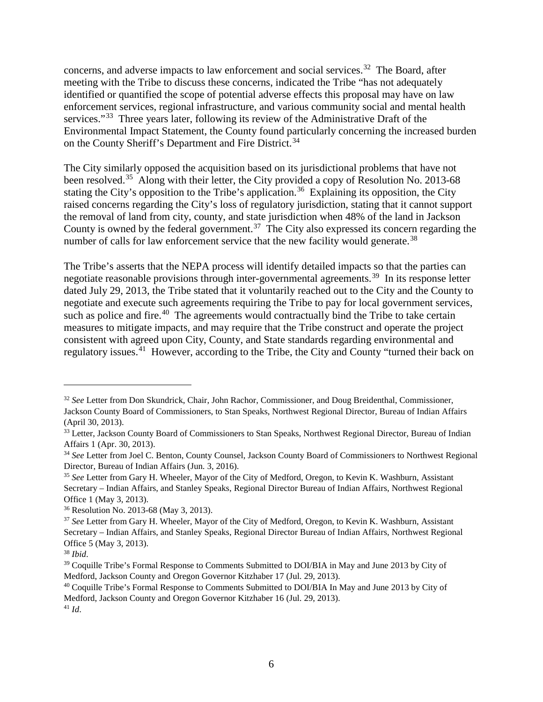concerns, and adverse impacts to law enforcement and social services.<sup>[32](#page-5-0)</sup> The Board, after meeting with the Tribe to discuss these concerns, indicated the Tribe "has not adequately identified or quantified the scope of potential adverse effects this proposal may have on law enforcement services, regional infrastructure, and various community social and mental health services."<sup>[33](#page-5-1)</sup> Three years later, following its review of the Administrative Draft of the Environmental Impact Statement, the County found particularly concerning the increased burden on the County Sheriff's Department and Fire District.<sup>[34](#page-5-2)</sup>

The City similarly opposed the acquisition based on its jurisdictional problems that have not been resolved.<sup>[35](#page-5-3)</sup> Along with their letter, the City provided a copy of Resolution No. 2013-68 stating the City's opposition to the Tribe's application.<sup>[36](#page-5-4)</sup> Explaining its opposition, the City raised concerns regarding the City's loss of regulatory jurisdiction, stating that it cannot support the removal of land from city, county, and state jurisdiction when 48% of the land in Jackson County is owned by the federal government.<sup>[37](#page-5-5)</sup> The City also expressed its concern regarding the number of calls for law enforcement service that the new facility would generate.<sup>[38](#page-5-6)</sup>

The Tribe's asserts that the NEPA process will identify detailed impacts so that the parties can negotiate reasonable provisions through inter-governmental agreements.<sup>[39](#page-5-7)</sup> In its response letter dated July 29, 2013, the Tribe stated that it voluntarily reached out to the City and the County to negotiate and execute such agreements requiring the Tribe to pay for local government services, such as police and fire.<sup>[40](#page-5-8)</sup> The agreements would contractually bind the Tribe to take certain measures to mitigate impacts, and may require that the Tribe construct and operate the project consistent with agreed upon City, County, and State standards regarding environmental and regulatory issues.<sup>41</sup> However, according to the Tribe, the City and County "turned their back on

<span id="page-5-0"></span><sup>32</sup> *See* Letter from Don Skundrick, Chair, John Rachor, Commissioner, and Doug Breidenthal, Commissioner, Jackson County Board of Commissioners, to Stan Speaks, Northwest Regional Director, Bureau of Indian Affairs (April 30, 2013).

<span id="page-5-1"></span><sup>&</sup>lt;sup>33</sup> Letter, Jackson County Board of Commissioners to Stan Speaks, Northwest Regional Director, Bureau of Indian Affairs 1 (Apr. 30, 2013).

<span id="page-5-2"></span><sup>34</sup> *See* Letter from Joel C. Benton, County Counsel, Jackson County Board of Commissioners to Northwest Regional Director, Bureau of Indian Affairs (Jun. 3, 2016).

<span id="page-5-3"></span><sup>35</sup> *See* Letter from Gary H. Wheeler, Mayor of the City of Medford, Oregon, to Kevin K. Washburn, Assistant Secretary – Indian Affairs, and Stanley Speaks, Regional Director Bureau of Indian Affairs, Northwest Regional Office 1 (May 3, 2013).

<span id="page-5-4"></span><sup>36</sup> Resolution No. 2013-68 (May 3, 2013).

<span id="page-5-5"></span><sup>37</sup> *See* Letter from Gary H. Wheeler, Mayor of the City of Medford, Oregon, to Kevin K. Washburn, Assistant Secretary – Indian Affairs, and Stanley Speaks, Regional Director Bureau of Indian Affairs, Northwest Regional Office 5 (May 3, 2013).

<span id="page-5-6"></span><sup>38</sup> *Ibid*.

<span id="page-5-7"></span><sup>&</sup>lt;sup>39</sup> Coquille Tribe's Formal Response to Comments Submitted to DOI/BIA in May and June 2013 by City of Medford, Jackson County and Oregon Governor Kitzhaber 17 (Jul. 29, 2013).

<span id="page-5-8"></span><sup>40</sup> Coquille Tribe's Formal Response to Comments Submitted to DOI/BIA In May and June 2013 by City of Medford, Jackson County and Oregon Governor Kitzhaber 16 (Jul. 29, 2013).

<span id="page-5-9"></span><sup>41</sup> *Id*.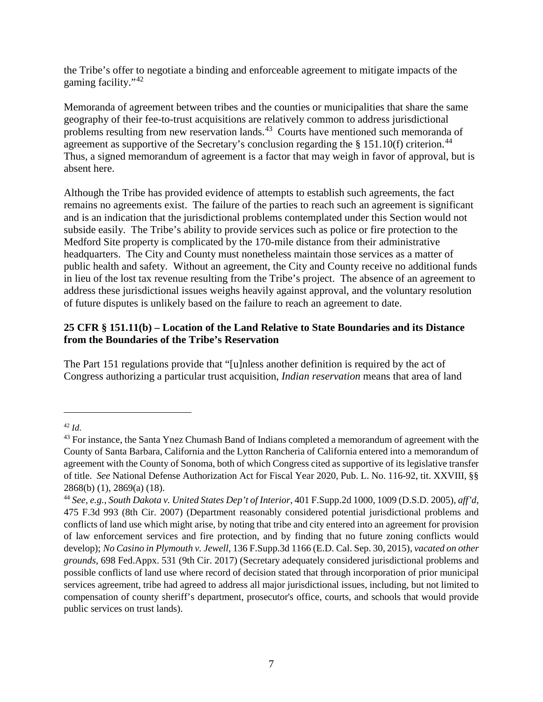the Tribe's offer to negotiate a binding and enforceable agreement to mitigate impacts of the gaming facility."[42](#page-6-0)

Memoranda of agreement between tribes and the counties or municipalities that share the same geography of their fee-to-trust acquisitions are relatively common to address jurisdictional problems resulting from new reservation lands.<sup>[43](#page-6-1)</sup> Courts have mentioned such memoranda of agreement as supportive of the Secretary's conclusion regarding the  $\S$  151.10(f) criterion.<sup>[44](#page-6-2)</sup> Thus, a signed memorandum of agreement is a factor that may weigh in favor of approval, but is absent here.

Although the Tribe has provided evidence of attempts to establish such agreements, the fact remains no agreements exist. The failure of the parties to reach such an agreement is significant and is an indication that the jurisdictional problems contemplated under this Section would not subside easily. The Tribe's ability to provide services such as police or fire protection to the Medford Site property is complicated by the 170-mile distance from their administrative headquarters. The City and County must nonetheless maintain those services as a matter of public health and safety. Without an agreement, the City and County receive no additional funds in lieu of the lost tax revenue resulting from the Tribe's project. The absence of an agreement to address these jurisdictional issues weighs heavily against approval, and the voluntary resolution of future disputes is unlikely based on the failure to reach an agreement to date.

# **25 CFR § 151.11(b) – Location of the Land Relative to State Boundaries and its Distance from the Boundaries of the Tribe's Reservation**

The Part 151 regulations provide that "[u]nless another definition is required by the act of Congress authorizing a particular trust acquisition, *Indian reservation* means that area of land

<span id="page-6-0"></span><sup>42</sup> *Id*.

<span id="page-6-1"></span><sup>&</sup>lt;sup>43</sup> For instance, the Santa Ynez Chumash Band of Indians completed a memorandum of agreement with the County of Santa Barbara, California and the Lytton Rancheria of California entered into a memorandum of agreement with the County of Sonoma, both of which Congress cited as supportive of its legislative transfer of title. *See* National Defense Authorization Act for Fiscal Year 2020, Pub. L. No. 116-92, tit. XXVIII, §§ 2868(b) (1), 2869(a) (18).

<span id="page-6-2"></span><sup>44</sup> *See, e.g.*, *South Dakota v. United States Dep't of Interior*, 401 F.Supp.2d 1000, 1009 (D.S.D. 2005), *aff'd*, 475 F.3d 993 (8th Cir. 2007) (Department reasonably considered potential jurisdictional problems and conflicts of land use which might arise, by noting that tribe and city entered into an agreement for provision of law enforcement services and fire protection, and by finding that no future zoning conflicts would develop); *No Casino in Plymouth v. Jewell*, 136 F.Supp.3d 1166 (E.D. Cal. Sep. 30, 2015), *vacated on other grounds*, 698 Fed.Appx. 531 (9th Cir. 2017) (Secretary adequately considered jurisdictional problems and possible conflicts of land use where record of decision stated that through incorporation of prior municipal services agreement, tribe had agreed to address all major jurisdictional issues, including, but not limited to compensation of county sheriff's department, prosecutor's office, courts, and schools that would provide public services on trust lands).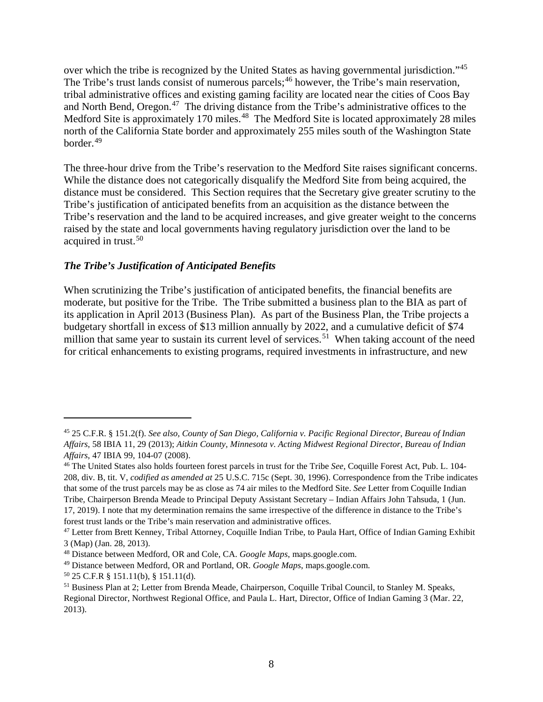over which the tribe is recognized by the United States as having governmental jurisdiction."[45](#page-7-0) The Tribe's trust lands consist of numerous parcels;<sup>[46](#page-7-1)</sup> however, the Tribe's main reservation, tribal administrative offices and existing gaming facility are located near the cities of Coos Bay and North Bend, Oregon.<sup>[47](#page-7-2)</sup> The driving distance from the Tribe's administrative offices to the Medford Site is approximately 170 miles.<sup>[48](#page-7-3)</sup> The Medford Site is located approximately 28 miles north of the California State border and approximately 255 miles south of the Washington State border.[49](#page-7-4)

The three-hour drive from the Tribe's reservation to the Medford Site raises significant concerns. While the distance does not categorically disqualify the Medford Site from being acquired, the distance must be considered. This Section requires that the Secretary give greater scrutiny to the Tribe's justification of anticipated benefits from an acquisition as the distance between the Tribe's reservation and the land to be acquired increases, and give greater weight to the concerns raised by the state and local governments having regulatory jurisdiction over the land to be acquired in trust.<sup>[50](#page-7-5)</sup>

#### *The Tribe's Justification of Anticipated Benefits*

When scrutinizing the Tribe's justification of anticipated benefits, the financial benefits are moderate, but positive for the Tribe. The Tribe submitted a business plan to the BIA as part of its application in April 2013 (Business Plan). As part of the Business Plan, the Tribe projects a budgetary shortfall in excess of \$13 million annually by 2022, and a cumulative deficit of \$74 million that same year to sustain its current level of services.<sup>[51](#page-7-6)</sup> When taking account of the need for critical enhancements to existing programs, required investments in infrastructure, and new

<span id="page-7-0"></span><sup>45</sup> 25 C.F.R. § 151.2(f). *See also, County of San Diego, California v. Pacific Regional Director*, *Bureau of Indian Affairs*, 58 IBIA 11, 29 (2013); *Aitkin County, Minnesota v. Acting Midwest Regional Director*, *Bureau of Indian Affairs*, 47 IBIA 99, 104-07 (2008).

<span id="page-7-1"></span><sup>46</sup> The United States also holds fourteen forest parcels in trust for the Tribe *See*, Coquille Forest Act, Pub. L. 104- 208, div. B, tit. V, *codified as amended at* 25 U.S.C. 715c (Sept. 30, 1996). Correspondence from the Tribe indicates that some of the trust parcels may be as close as 74 air miles to the Medford Site. *See* Letter from Coquille Indian Tribe, Chairperson Brenda Meade to Principal Deputy Assistant Secretary – Indian Affairs John Tahsuda, 1 (Jun. 17, 2019). I note that my determination remains the same irrespective of the difference in distance to the Tribe's forest trust lands or the Tribe's main reservation and administrative offices.

<span id="page-7-2"></span><sup>47</sup> Letter from Brett Kenney, Tribal Attorney, Coquille Indian Tribe, to Paula Hart, Office of Indian Gaming Exhibit 3 (Map) (Jan. 28, 2013).

<span id="page-7-3"></span><sup>48</sup> Distance between Medford, OR and Cole, CA. *Google Maps*, maps.google.com.

<span id="page-7-4"></span><sup>49</sup> Distance between Medford, OR and Portland, OR. *Google Maps*, maps.google.com.

<span id="page-7-5"></span> $50$  25 C.F.R § 151.11(b), § 151.11(d).

<span id="page-7-6"></span><sup>51</sup> Business Plan at 2; Letter from Brenda Meade, Chairperson, Coquille Tribal Council, to Stanley M. Speaks, Regional Director, Northwest Regional Office, and Paula L. Hart, Director, Office of Indian Gaming 3 (Mar. 22, 2013).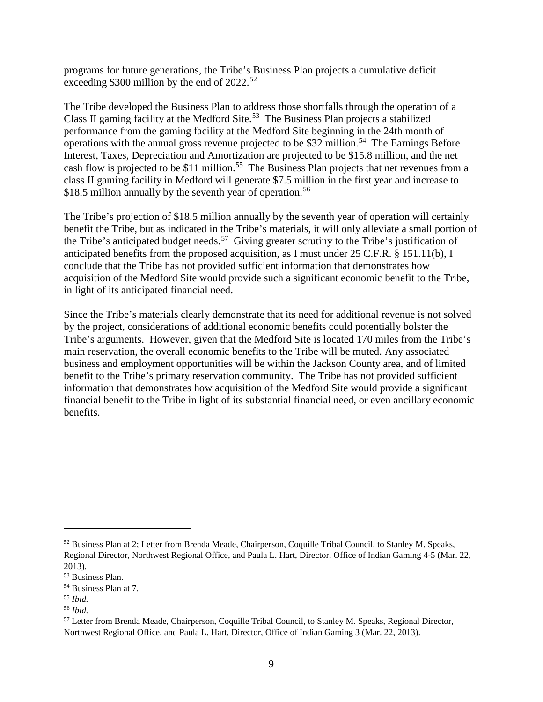programs for future generations, the Tribe's Business Plan projects a cumulative deficit exceeding \$300 million by the end of 2022.<sup>[52](#page-8-0)</sup>

The Tribe developed the Business Plan to address those shortfalls through the operation of a Class II gaming facility at the Medford Site. [53](#page-8-1) The Business Plan projects a stabilized performance from the gaming facility at the Medford Site beginning in the 24th month of operations with the annual gross revenue projected to be \$32 million.<sup>54</sup> The Earnings Before Interest, Taxes, Depreciation and Amortization are projected to be \$15.8 million, and the net cash flow is projected to be \$11 million.<sup>[55](#page-8-3)</sup> The Business Plan projects that net revenues from a class II gaming facility in Medford will generate \$7.5 million in the first year and increase to \$18.5 million annually by the seventh year of operation.<sup>[56](#page-8-4)</sup>

The Tribe's projection of \$18.5 million annually by the seventh year of operation will certainly benefit the Tribe, but as indicated in the Tribe's materials, it will only alleviate a small portion of the Tribe's anticipated budget needs.<sup>[57](#page-8-5)</sup> Giving greater scrutiny to the Tribe's justification of anticipated benefits from the proposed acquisition, as I must under 25 C.F.R. § 151.11(b), I conclude that the Tribe has not provided sufficient information that demonstrates how acquisition of the Medford Site would provide such a significant economic benefit to the Tribe, in light of its anticipated financial need.

Since the Tribe's materials clearly demonstrate that its need for additional revenue is not solved by the project, considerations of additional economic benefits could potentially bolster the Tribe's arguments. However, given that the Medford Site is located 170 miles from the Tribe's main reservation, the overall economic benefits to the Tribe will be muted. Any associated business and employment opportunities will be within the Jackson County area, and of limited benefit to the Tribe's primary reservation community. The Tribe has not provided sufficient information that demonstrates how acquisition of the Medford Site would provide a significant financial benefit to the Tribe in light of its substantial financial need, or even ancillary economic benefits.

<span id="page-8-0"></span><sup>52</sup> Business Plan at 2; Letter from Brenda Meade, Chairperson, Coquille Tribal Council, to Stanley M. Speaks, Regional Director, Northwest Regional Office, and Paula L. Hart, Director, Office of Indian Gaming 4-5 (Mar. 22, 2013).

<span id="page-8-1"></span><sup>53</sup> Business Plan.

<span id="page-8-2"></span><sup>54</sup> Business Plan at 7.

<span id="page-8-3"></span><sup>55</sup> *Ibid.*

<span id="page-8-4"></span><sup>56</sup> *Ibid.*

<span id="page-8-5"></span><sup>57</sup> Letter from Brenda Meade, Chairperson, Coquille Tribal Council, to Stanley M. Speaks, Regional Director, Northwest Regional Office, and Paula L. Hart, Director, Office of Indian Gaming 3 (Mar. 22, 2013).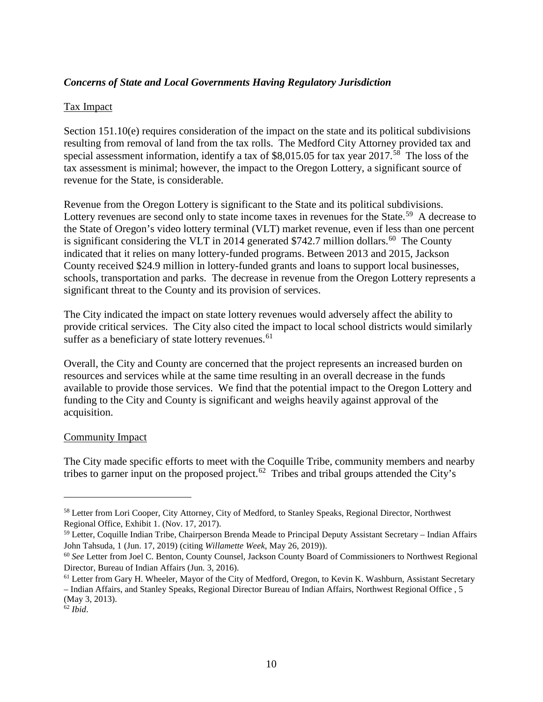### *Concerns of State and Local Governments Having Regulatory Jurisdiction*

#### Tax Impact

Section 151.10(e) requires consideration of the impact on the state and its political subdivisions resulting from removal of land from the tax rolls. The Medford City Attorney provided tax and special assessment information, identify a tax of  $$8,015.05$  for tax year 2017.<sup>[58](#page-9-0)</sup> The loss of the tax assessment is minimal; however, the impact to the Oregon Lottery, a significant source of revenue for the State, is considerable.

Revenue from the Oregon Lottery is significant to the State and its political subdivisions. Lottery revenues are second only to state income taxes in revenues for the State.<sup>[59](#page-9-1)</sup> A decrease to the State of Oregon's video lottery terminal (VLT) market revenue, even if less than one percent is significant considering the VLT in 2014 generated  $$742.7$  million dollars.<sup>[60](#page-9-2)</sup> The County indicated that it relies on many lottery-funded programs. Between 2013 and 2015, Jackson County received \$24.9 million in lottery-funded grants and loans to support local businesses, schools, transportation and parks. The decrease in revenue from the Oregon Lottery represents a significant threat to the County and its provision of services.

The City indicated the impact on state lottery revenues would adversely affect the ability to provide critical services. The City also cited the impact to local school districts would similarly suffer as a beneficiary of state lottery revenues.  $61$ 

Overall, the City and County are concerned that the project represents an increased burden on resources and services while at the same time resulting in an overall decrease in the funds available to provide those services. We find that the potential impact to the Oregon Lottery and funding to the City and County is significant and weighs heavily against approval of the acquisition.

#### Community Impact

The City made specific efforts to meet with the Coquille Tribe, community members and nearby tribes to garner input on the proposed project.<sup>[62](#page-9-4)</sup> Tribes and tribal groups attended the City's

<span id="page-9-0"></span><sup>&</sup>lt;sup>58</sup> Letter from Lori Cooper, City Attorney, City of Medford, to Stanley Speaks, Regional Director, Northwest Regional Office, Exhibit 1. (Nov. 17, 2017).

<span id="page-9-1"></span><sup>59</sup> Letter, Coquille Indian Tribe, Chairperson Brenda Meade to Principal Deputy Assistant Secretary – Indian Affairs John Tahsuda, 1 (Jun. 17, 2019) (citing *Willamette Week*, May 26, 2019)).

<span id="page-9-2"></span><sup>60</sup> *See* Letter from Joel C. Benton, County Counsel, Jackson County Board of Commissioners to Northwest Regional Director, Bureau of Indian Affairs (Jun. 3, 2016).

<span id="page-9-3"></span><sup>&</sup>lt;sup>61</sup> Letter from Gary H. Wheeler, Mayor of the City of Medford, Oregon, to Kevin K. Washburn, Assistant Secretary – Indian Affairs, and Stanley Speaks, Regional Director Bureau of Indian Affairs, Northwest Regional Office , 5 (May 3, 2013).

<span id="page-9-4"></span><sup>62</sup> *Ibid*.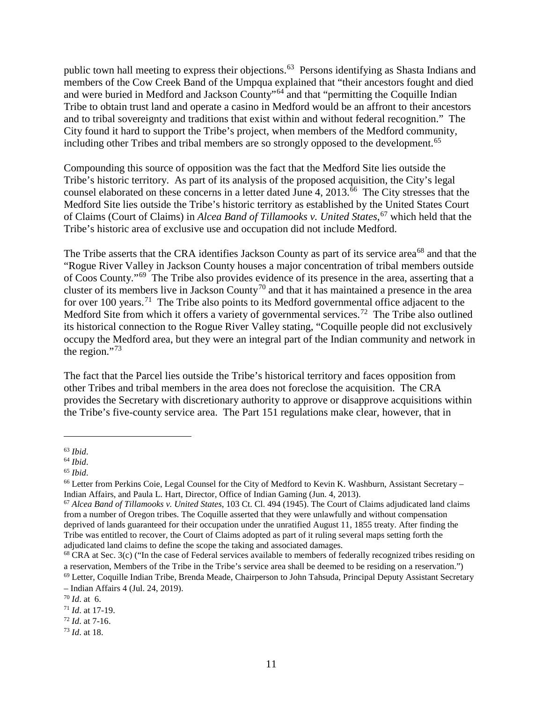public town hall meeting to express their objections.<sup>[63](#page-10-0)</sup> Persons identifying as Shasta Indians and members of the Cow Creek Band of the Umpqua explained that "their ancestors fought and died and were buried in Medford and Jackson County"<sup>[64](#page-10-1)</sup> and that "permitting the Coquille Indian Tribe to obtain trust land and operate a casino in Medford would be an affront to their ancestors and to tribal sovereignty and traditions that exist within and without federal recognition." The City found it hard to support the Tribe's project, when members of the Medford community, including other Tribes and tribal members are so strongly opposed to the development.<sup>[65](#page-10-2)</sup>

Compounding this source of opposition was the fact that the Medford Site lies outside the Tribe's historic territory. As part of its analysis of the proposed acquisition, the City's legal counsel elaborated on these concerns in a letter dated June 4, 2013.<sup>[66](#page-10-3)</sup> The City stresses that the Medford Site lies outside the Tribe's historic territory as established by the United States Court of Claims (Court of Claims) in *Alcea Band of Tillamooks v. United States*, [67](#page-10-4) which held that the Tribe's historic area of exclusive use and occupation did not include Medford.

The Tribe asserts that the CRA identifies Jackson County as part of its service area<sup>[68](#page-10-5)</sup> and that the "Rogue River Valley in Jackson County houses a major concentration of tribal members outside of Coos County."[69](#page-10-6) The Tribe also provides evidence of its presence in the area, asserting that a cluster of its members live in Jackson County<sup>[70](#page-10-7)</sup> and that it has maintained a presence in the area for over 100 years.<sup>[71](#page-10-8)</sup> The Tribe also points to its Medford governmental office adjacent to the Medford Site from which it offers a variety of governmental services.<sup>[72](#page-10-9)</sup> The Tribe also outlined its historical connection to the Rogue River Valley stating, "Coquille people did not exclusively occupy the Medford area, but they were an integral part of the Indian community and network in the region." $^{73}$  $^{73}$  $^{73}$ 

The fact that the Parcel lies outside the Tribe's historical territory and faces opposition from other Tribes and tribal members in the area does not foreclose the acquisition. The CRA provides the Secretary with discretionary authority to approve or disapprove acquisitions within the Tribe's five-county service area. The Part 151 regulations make clear, however, that in

<span id="page-10-0"></span><sup>63</sup> *Ibid*.

<span id="page-10-1"></span><sup>64</sup> *Ibid*.

<span id="page-10-2"></span><sup>65</sup> *Ibid*.

<span id="page-10-3"></span><sup>66</sup> Letter from Perkins Coie, Legal Counsel for the City of Medford to Kevin K. Washburn, Assistant Secretary – Indian Affairs, and Paula L. Hart, Director, Office of Indian Gaming (Jun. 4, 2013).

<span id="page-10-4"></span><sup>67</sup> *Alcea Band of Tillamooks v. United States*, 103 Ct. Cl. 494 (1945). The Court of Claims adjudicated land claims from a number of Oregon tribes. The Coquille asserted that they were unlawfully and without compensation deprived of lands guaranteed for their occupation under the unratified August 11, 1855 treaty. After finding the Tribe was entitled to recover, the Court of Claims adopted as part of it ruling several maps setting forth the adjudicated land claims to define the scope the taking and associated damages.

<span id="page-10-5"></span><sup>&</sup>lt;sup>68</sup> CRA at Sec. 3(c) ("In the case of Federal services available to members of federally recognized tribes residing on a reservation, Members of the Tribe in the Tribe's service area shall be deemed to be residing on a reservation.")

<span id="page-10-6"></span><sup>69</sup> Letter, Coquille Indian Tribe, Brenda Meade, Chairperson to John Tahsuda, Principal Deputy Assistant Secretary – Indian Affairs 4 (Jul. 24, 2019).

<span id="page-10-7"></span><sup>70</sup> *Id*. at 6.

<span id="page-10-8"></span><sup>71</sup> *Id*. at 17-19.

<span id="page-10-9"></span><sup>72</sup> *Id*. at 7-16.

<span id="page-10-10"></span><sup>73</sup> *Id*. at 18.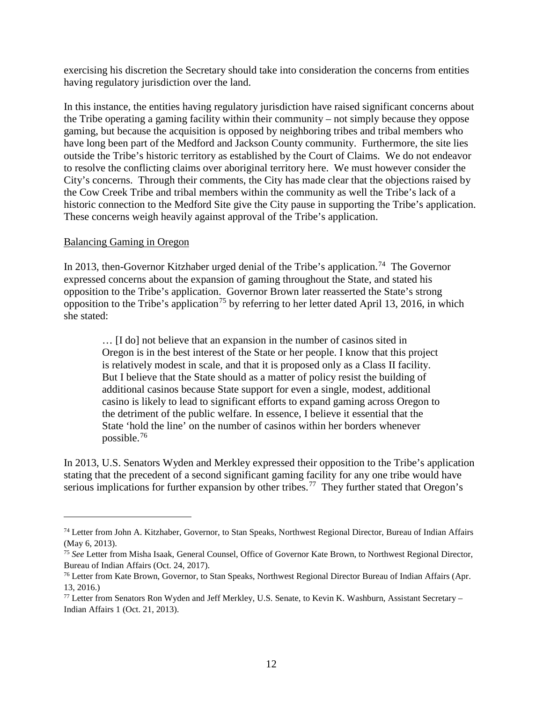exercising his discretion the Secretary should take into consideration the concerns from entities having regulatory jurisdiction over the land.

In this instance, the entities having regulatory jurisdiction have raised significant concerns about the Tribe operating a gaming facility within their community – not simply because they oppose gaming, but because the acquisition is opposed by neighboring tribes and tribal members who have long been part of the Medford and Jackson County community. Furthermore, the site lies outside the Tribe's historic territory as established by the Court of Claims. We do not endeavor to resolve the conflicting claims over aboriginal territory here. We must however consider the City's concerns. Through their comments, the City has made clear that the objections raised by the Cow Creek Tribe and tribal members within the community as well the Tribe's lack of a historic connection to the Medford Site give the City pause in supporting the Tribe's application. These concerns weigh heavily against approval of the Tribe's application.

#### Balancing Gaming in Oregon

 $\overline{a}$ 

In 2013, then-Governor Kitzhaber urged denial of the Tribe's application.<sup>74</sup> The Governor expressed concerns about the expansion of gaming throughout the State, and stated his opposition to the Tribe's application. Governor Brown later reasserted the State's strong opposition to the Tribe's application<sup>[75](#page-11-1)</sup> by referring to her letter dated April 13, 2016, in which she stated:

… [I do] not believe that an expansion in the number of casinos sited in Oregon is in the best interest of the State or her people. I know that this project is relatively modest in scale, and that it is proposed only as a Class II facility. But I believe that the State should as a matter of policy resist the building of additional casinos because State support for even a single, modest, additional casino is likely to lead to significant efforts to expand gaming across Oregon to the detriment of the public welfare. In essence, I believe it essential that the State 'hold the line' on the number of casinos within her borders whenever possible. [76](#page-11-2)

In 2013, U.S. Senators Wyden and Merkley expressed their opposition to the Tribe's application stating that the precedent of a second significant gaming facility for any one tribe would have serious implications for further expansion by other tribes.<sup>[77](#page-11-3)</sup> They further stated that Oregon's

<span id="page-11-0"></span><sup>74</sup> Letter from John A. Kitzhaber, Governor, to Stan Speaks, Northwest Regional Director, Bureau of Indian Affairs (May 6, 2013).

<span id="page-11-1"></span><sup>75</sup> *See* Letter from Misha Isaak, General Counsel, Office of Governor Kate Brown, to Northwest Regional Director, Bureau of Indian Affairs (Oct. 24, 2017).

<span id="page-11-2"></span><sup>&</sup>lt;sup>76</sup> Letter from Kate Brown, Governor, to Stan Speaks, Northwest Regional Director Bureau of Indian Affairs (Apr. 13, 2016.)

<span id="page-11-3"></span> $77$  Letter from Senators Ron Wyden and Jeff Merkley, U.S. Senate, to Kevin K. Washburn, Assistant Secretary – Indian Affairs 1 (Oct. 21, 2013).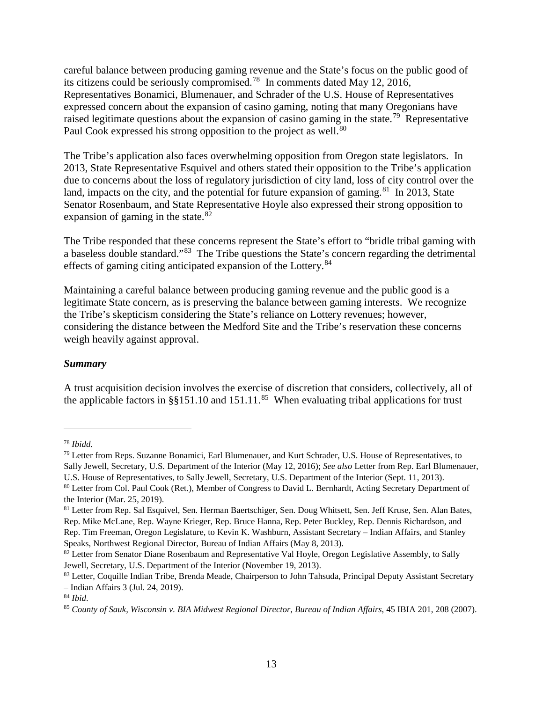careful balance between producing gaming revenue and the State's focus on the public good of its citizens could be seriously compromised.[78](#page-12-0) In comments dated May 12, 2016, Representatives Bonamici, Blumenauer, and Schrader of the U.S. House of Representatives expressed concern about the expansion of casino gaming, noting that many Oregonians have raised legitimate questions about the expansion of casino gaming in the state.<sup>[79](#page-12-1)</sup> Representative Paul Cook expressed his strong opposition to the project as well.<sup>[80](#page-12-2)</sup>

The Tribe's application also faces overwhelming opposition from Oregon state legislators. In 2013, State Representative Esquivel and others stated their opposition to the Tribe's application due to concerns about the loss of regulatory jurisdiction of city land, loss of city control over the land, impacts on the city, and the potential for future expansion of gaming.<sup>81</sup> In 2013, State Senator Rosenbaum, and State Representative Hoyle also expressed their strong opposition to expansion of gaming in the state. $82$ 

The Tribe responded that these concerns represent the State's effort to "bridle tribal gaming with a baseless double standard."[83](#page-12-5) The Tribe questions the State's concern regarding the detrimental effects of gaming citing anticipated expansion of the Lottery.<sup>[84](#page-12-6)</sup>

Maintaining a careful balance between producing gaming revenue and the public good is a legitimate State concern, as is preserving the balance between gaming interests. We recognize the Tribe's skepticism considering the State's reliance on Lottery revenues; however, considering the distance between the Medford Site and the Tribe's reservation these concerns weigh heavily against approval.

#### *Summary*

A trust acquisition decision involves the exercise of discretion that considers, collectively, all of the applicable factors in §§151.10 and 151.11.<sup>[85](#page-12-7)</sup> When evaluating tribal applications for trust

<span id="page-12-0"></span><sup>78</sup> *Ibidd.*

<span id="page-12-1"></span><sup>79</sup> Letter from Reps. Suzanne Bonamici, Earl Blumenauer, and Kurt Schrader, U.S. House of Representatives, to Sally Jewell, Secretary, U.S. Department of the Interior (May 12, 2016); *See also* Letter from Rep. Earl Blumenauer,

U.S. House of Representatives, to Sally Jewell, Secretary, U.S. Department of the Interior (Sept. 11, 2013).

<span id="page-12-2"></span><sup>80</sup> Letter from Col. Paul Cook (Ret.), Member of Congress to David L. Bernhardt, Acting Secretary Department of the Interior (Mar. 25, 2019).

<span id="page-12-3"></span><sup>81</sup> Letter from Rep. Sal Esquivel, Sen. Herman Baertschiger, Sen. Doug Whitsett, Sen. Jeff Kruse, Sen. Alan Bates, Rep. Mike McLane, Rep. Wayne Krieger, Rep. Bruce Hanna, Rep. Peter Buckley, Rep. Dennis Richardson, and Rep. Tim Freeman, Oregon Legislature, to Kevin K. Washburn, Assistant Secretary – Indian Affairs, and Stanley Speaks, Northwest Regional Director, Bureau of Indian Affairs (May 8, 2013).

<span id="page-12-4"></span><sup>&</sup>lt;sup>82</sup> Letter from Senator Diane Rosenbaum and Representative Val Hoyle, Oregon Legislative Assembly, to Sally Jewell, Secretary, U.S. Department of the Interior (November 19, 2013).

<span id="page-12-5"></span><sup>&</sup>lt;sup>83</sup> Letter, Coquille Indian Tribe, Brenda Meade, Chairperson to John Tahsuda, Principal Deputy Assistant Secretary – Indian Affairs 3 (Jul. 24, 2019).

<span id="page-12-6"></span><sup>84</sup> *Ibid*.

<span id="page-12-7"></span><sup>85</sup> *County of Sauk, Wisconsin v. BIA Midwest Regional Director*, *Bureau of Indian Affairs*, 45 IBIA 201, 208 (2007).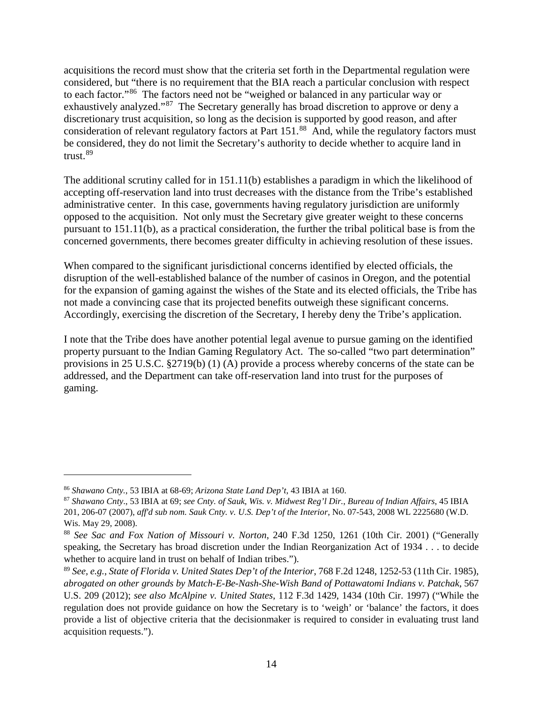acquisitions the record must show that the criteria set forth in the Departmental regulation were considered, but "there is no requirement that the BIA reach a particular conclusion with respect to each factor."[86](#page-13-0) The factors need not be "weighed or balanced in any particular way or exhaustively analyzed."<sup>[87](#page-13-1)</sup> The Secretary generally has broad discretion to approve or deny a discretionary trust acquisition, so long as the decision is supported by good reason, and after consideration of relevant regulatory factors at Part 151.<sup>[88](#page-13-2)</sup> And, while the regulatory factors must be considered, they do not limit the Secretary's authority to decide whether to acquire land in trust.[89](#page-13-3)

The additional scrutiny called for in 151.11(b) establishes a paradigm in which the likelihood of accepting off-reservation land into trust decreases with the distance from the Tribe's established administrative center. In this case, governments having regulatory jurisdiction are uniformly opposed to the acquisition. Not only must the Secretary give greater weight to these concerns pursuant to 151.11(b), as a practical consideration, the further the tribal political base is from the concerned governments, there becomes greater difficulty in achieving resolution of these issues.

When compared to the significant jurisdictional concerns identified by elected officials, the disruption of the well-established balance of the number of casinos in Oregon, and the potential for the expansion of gaming against the wishes of the State and its elected officials, the Tribe has not made a convincing case that its projected benefits outweigh these significant concerns. Accordingly, exercising the discretion of the Secretary, I hereby deny the Tribe's application.

I note that the Tribe does have another potential legal avenue to pursue gaming on the identified property pursuant to the Indian Gaming Regulatory Act. The so-called "two part determination" provisions in 25 U.S.C. §2719(b) (1) (A) provide a process whereby concerns of the state can be addressed, and the Department can take off-reservation land into trust for the purposes of gaming.

<span id="page-13-0"></span><sup>86</sup> *Shawano Cnty.*, 53 IBIA at 68-69; *Arizona State Land Dep't*, 43 IBIA at 160.

<span id="page-13-1"></span><sup>87</sup> *Shawano Cnty*., 53 IBIA at 69; *see Cnty. of Sauk, Wis. v. Midwest Reg'l Dir.*, *Bureau of Indian Affairs*, 45 IBIA 201, 206-07 (2007), *aff'd sub nom. Sauk Cnty. v. U.S. Dep't of the Interior*, No. 07-543, 2008 WL 2225680 (W.D. Wis. May 29, 2008).

<span id="page-13-2"></span><sup>88</sup> *See Sac and Fox Nation of Missouri v. Norton*, 240 F.3d 1250, 1261 (10th Cir. 2001) ("Generally speaking, the Secretary has broad discretion under the Indian Reorganization Act of 1934 . . . to decide whether to acquire land in trust on behalf of Indian tribes.").

<span id="page-13-3"></span><sup>89</sup> *See, e.g.*, *State of Florida v. United States Dep't of the Interior*, 768 F.2d 1248, 1252-53 (11th Cir. 1985), *abrogated on other grounds by Match-E-Be-Nash-She-Wish Band of Pottawatomi Indians v. Patchak*, 567 U.S. 209 (2012); *see also McAlpine v. United States*, 112 F.3d 1429, 1434 (10th Cir. 1997) ("While the regulation does not provide guidance on how the Secretary is to 'weigh' or 'balance' the factors, it does provide a list of objective criteria that the decisionmaker is required to consider in evaluating trust land acquisition requests.").